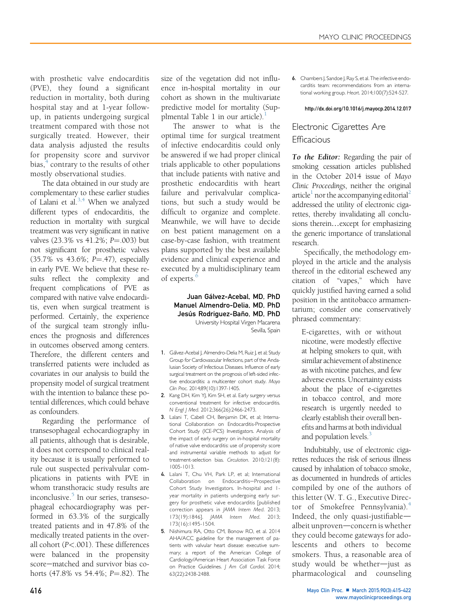with prosthetic valve endocarditis (PVE), they found a significant reduction in mortality, both during hospital stay and at 1-year followup, in patients undergoing surgical treatment compared with those not surgically treated. However, their data analysis adjusted the results for propensity score and survivor bias, $<sup>4</sup>$  contrary to the results of other</sup> mostly observational studies.

The data obtained in our study are complementary to these earlier studies of Lalani et al. $3,4$  When we analyzed different types of endocarditis, the reduction in mortality with surgical treatment was very significant in native valves  $(23.3\% \text{ vs } 41.2\%; P = .003)$  but not significant for prosthetic valves  $(35.7\% \text{ vs } 43.6\%; \text{ P} = .47),$  especially in early PVE. We believe that these results reflect the complexity and frequent complications of PVE as compared with native valve endocarditis, even when surgical treatment is performed. Certainly, the experience of the surgical team strongly influences the prognosis and differences in outcomes observed among centers. Therefore, the different centers and transferred patients were included as covariates in our analysis to build the propensity model of surgical treatment with the intention to balance these potential differences, which could behave as confounders.

Regarding the performance of transesophageal echocardiography in all patients, although that is desirable, it does not correspond to clinical reality because it is usually performed to rule out suspected perivalvular complications in patients with PVE in whom transthoracic study results are inconclusive.<sup>5</sup> In our series, transesophageal echocardiography was performed in 63.3% of the surgically treated patients and in 47.8% of the medically treated patients in the overall cohort (P<.001). These differences were balanced in the propensity score-matched and survivor bias cohorts  $(47.8\% \text{ vs } 54.4\%; P=.82)$ . The

size of the vegetation did not influence in-hospital mortality in our cohort as shown in the multivariate predictive model for mortality (Supplmental Table 1 in our article).

The answer to what is the optimal time for surgical treatment of infective endocarditis could only be answered if we had proper clinical trials applicable to other populations that include patients with native and prosthetic endocarditis with heart failure and perivalvular complications, but such a study would be difficult to organize and complete. Meanwhile, we will have to decide on best patient management on a case-by-case fashion, with treatment plans supported by the best available evidence and clinical experience and executed by a multidisciplinary team of experts. $6$ 

> Juan Gálvez-Acebal, MD, PhD Manuel Almendro-Delia, MD, PhD Jesús Rodriguez-Baño, MD, PhD University Hospital Virgen Macarena Sevilla, Spain

- 1. Gálvez-Acebal J, Almendro-Delia M, Ruiz J, et al; Study Group for Cardiovascular Infections, part of the Andalusian Society of Infectious Diseases. Influence of early surgical treatment on the prognosis of left-sided infective endocarditis: a multicenter cohort study. Mayo Clin Proc. 2014;89(10):1397-1405.
- 2. Kang DH, Kim YJ, Kim SH, et al. Early surgery versus conventional treatment for infective endocarditis. N Engl J Med. 2012;366(26):2466-2473.
- 3. Lalani T, Cabell CH, Benjamin DK, et al; International Collaboration on Endocarditis-Prospective Cohort Study (ICE-PCS) Investigators. Analysis of the impact of early surgery on in-hospital mortality of native valve endocarditis: use of propensity score and instrumental variable methods to adjust for treatment-selection bias. Circulation. 2010;121(8): 1005-1013.
- 4. Lalani T, Chu VH, Park LP, et al; International Collaboration on Endocarditis-Prospective Cohort Study Investigators. In-hospital and 1 year mortality in patients undergoing early surgery for prosthetic valve endocarditis [published correction appears in JAMA Intern Med. 2013; 173(19):1846]. JAMA Intern Med. 2013; 173(16):1495-1504.
- 5. Nishimura RA, Otto CM, Bonow RO, et al. 2014 AHA/ACC guideline for the management of patients with valvular heart disease: executive summary; a report of the American College of Cardiology/American Heart Association Task Force on Practice Guidelines. | Am Coll Cardiol. 2014; 63(22):2438-2488.

6. Chambers J, Sandoe J, Ray S, et al. The infective endocarditis team: recommendations from an international working group. Heart. 2014;100(7):524-527.

#### [http://dx.doi.org/10.1016/j.mayocp.2014.12.017](http://dx.doi.org/10.1016/j.mayocp.2014.12.021)

# Electronic Cigarettes Are **Efficacious**

To the Editor: Regarding the pair of smoking cessation articles published in the October 2014 issue of Mayo Clinic Proceedings, neither the original article<sup>[1](#page-1-0)</sup> nor the accompanying editorial<sup>2</sup> addressed the utility of electronic cigarettes, thereby invalidating all conclusions therein...except for emphasizing the generic importance of translational research.

Specifically, the methodology employed in the article and the analysis thereof in the editorial eschewed any citation of "vapes," which have quickly justified having earned a solid position in the antitobacco armamentarium; consider one conservatively phrased commentary:

E-cigarettes, with or without nicotine, were modestly effective at helping smokers to quit, with similar achievement of abstinence as with nicotine patches, and few adverse events. Uncertainty exists about the place of e-cigarettes in tobacco control, and more research is urgently needed to clearly establish their overall benefits and harms at both individual and population levels.<sup>3</sup>

Indubitably, use of electronic cigarettes reduces the risk of serious illness caused by inhalation of tobacco smoke, as documented in hundreds of articles compiled by one of the authors of this letter (W. T. G., Executive Direc-tor of Smokefree Pennsylvania).<sup>[4](#page-1-0)</sup> Indeed, the only quasi-justifiable $$ albeit unproven-concern is whether they could become gateways for adolescents and others to become smokers. Thus, a reasonable area of study would be whether-just as pharmacological and counseling